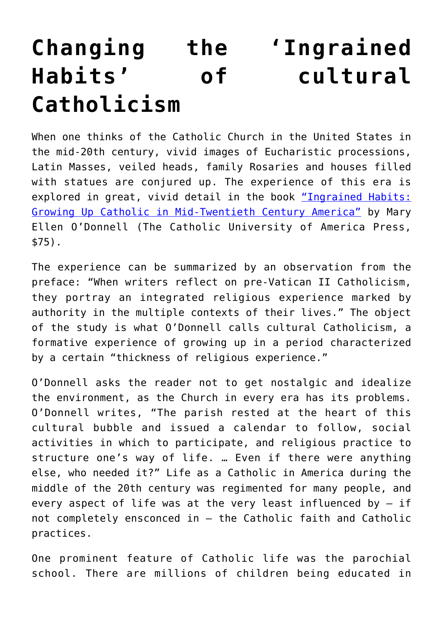## **[Changing the 'Ingrained](https://www.osvnews.com/2018/09/02/changing-the-ingrained-habits-of-cultural-catholicism/) [Habits' of cultural](https://www.osvnews.com/2018/09/02/changing-the-ingrained-habits-of-cultural-catholicism/) [Catholicism](https://www.osvnews.com/2018/09/02/changing-the-ingrained-habits-of-cultural-catholicism/)**

When one thinks of the Catholic Church in the United States in the mid-20th century, vivid images of Eucharistic processions, Latin Masses, veiled heads, family Rosaries and houses filled with statues are conjured up. The experience of this era is explored in great, vivid detail in the book ["Ingrained Habits:](https://amzn.to/2BDRi6I) [Growing Up Catholic in Mid-Twentieth Century America"](https://amzn.to/2BDRi6I) by Mary Ellen O'Donnell (The Catholic University of America Press, \$75).

The experience can be summarized by an observation from the preface: "When writers reflect on pre-Vatican II Catholicism, they portray an integrated religious experience marked by authority in the multiple contexts of their lives." The object of the study is what O'Donnell calls cultural Catholicism, a formative experience of growing up in a period characterized by a certain "thickness of religious experience."

O'Donnell asks the reader not to get nostalgic and idealize the environment, as the Church in every era has its problems. O'Donnell writes, "The parish rested at the heart of this cultural bubble and issued a calendar to follow, social activities in which to participate, and religious practice to structure one's way of life. … Even if there were anything else, who needed it?" Life as a Catholic in America during the middle of the 20th century was regimented for many people, and every aspect of life was at the very least influenced by  $-$  if not completely ensconced in — the Catholic faith and Catholic practices.

One prominent feature of Catholic life was the parochial school. There are millions of children being educated in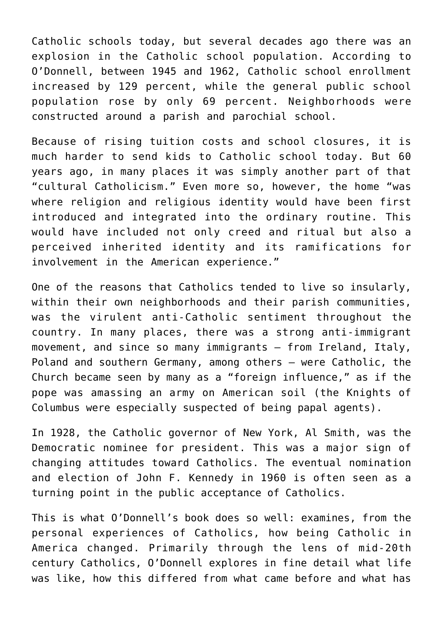Catholic schools today, but several decades ago there was an explosion in the Catholic school population. According to O'Donnell, between 1945 and 1962, Catholic school enrollment increased by 129 percent, while the general public school population rose by only 69 percent. Neighborhoods were constructed around a parish and parochial school.

Because of rising tuition costs and school closures, it is much harder to send kids to Catholic school today. But 60 years ago, in many places it was simply another part of that "cultural Catholicism." Even more so, however, the home "was where religion and religious identity would have been first introduced and integrated into the ordinary routine. This would have included not only creed and ritual but also a perceived inherited identity and its ramifications for involvement in the American experience."

One of the reasons that Catholics tended to live so insularly, within their own neighborhoods and their parish communities, was the virulent anti-Catholic sentiment throughout the country. In many places, there was a strong anti-immigrant movement, and since so many immigrants — from Ireland, Italy, Poland and southern Germany, among others — were Catholic, the Church became seen by many as a "foreign influence," as if the pope was amassing an army on American soil (the Knights of Columbus were especially suspected of being papal agents).

In 1928, the Catholic governor of New York, Al Smith, was the Democratic nominee for president. This was a major sign of changing attitudes toward Catholics. The eventual nomination and election of John F. Kennedy in 1960 is often seen as a turning point in the public acceptance of Catholics.

This is what O'Donnell's book does so well: examines, from the personal experiences of Catholics, how being Catholic in America changed. Primarily through the lens of mid-20th century Catholics, O'Donnell explores in fine detail what life was like, how this differed from what came before and what has